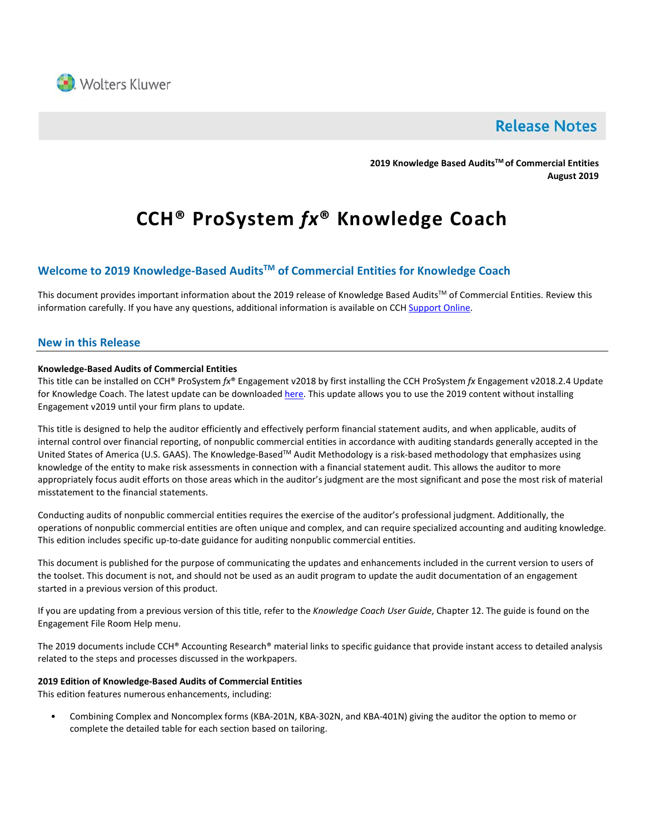

# **Release Notes**

**2019 Knowledge Based AuditsTM of Commercial Entities August 2019**

# **CCH® ProSystem** *fx***® Knowledge Coach**

### **Welcome to 2019 Knowledge-Based AuditsTM of Commercial Entities for Knowledge Coach**

This document provides important information about the 2019 release of Knowledge Based Audits™ of Commercial Entities. Review this information carefully. If you have any questions, additional information is available on CC[H Support Online.](http://support.cch.com/productsupport/)

#### **New in this Release**

#### **Knowledge-Based Audits of Commercial Entities**

This title can be installed on CCH® ProSystem *fx*® Engagement v2018 by first installing the CCH ProSystem *fx* Engagement v2018.2.4 Update for Knowledge Coach. The latest update can be downloade[d here.](https://support.cch.com/updates/Engagement/release2018/release2018.aspx) This update allows you to use the 2019 content without installing Engagement v2019 until your firm plans to update.

This title is designed to help the auditor efficiently and effectively perform financial statement audits, and when applicable, audits of internal control over financial reporting, of nonpublic commercial entities in accordance with auditing standards generally accepted in the United States of America (U.S. GAAS). The Knowledge-BasedTM Audit Methodology is a risk-based methodology that emphasizes using knowledge of the entity to make risk assessments in connection with a financial statement audit. This allows the auditor to more appropriately focus audit efforts on those areas which in the auditor's judgment are the most significant and pose the most risk of material misstatement to the financial statements.

Conducting audits of nonpublic commercial entities requires the exercise of the auditor's professional judgment. Additionally, the operations of nonpublic commercial entities are often unique and complex, and can require specialized accounting and auditing knowledge. This edition includes specific up-to-date guidance for auditing nonpublic commercial entities.

This document is published for the purpose of communicating the updates and enhancements included in the current version to users of the toolset. This document is not, and should not be used as an audit program to update the audit documentation of an engagement started in a previous version of this product.

If you are updating from a previous version of this title, refer to the *Knowledge Coach User Guide*, Chapter 12. The guide is found on the Engagement File Room Help menu.

The 2019 documents include CCH® Accounting Research® material links to specific guidance that provide instant access to detailed analysis related to the steps and processes discussed in the workpapers.

#### **2019 Edition of Knowledge-Based Audits of Commercial Entities**

This edition features numerous enhancements, including:

• Combining Complex and Noncomplex forms (KBA-201N, KBA-302N, and KBA-401N) giving the auditor the option to memo or complete the detailed table for each section based on tailoring.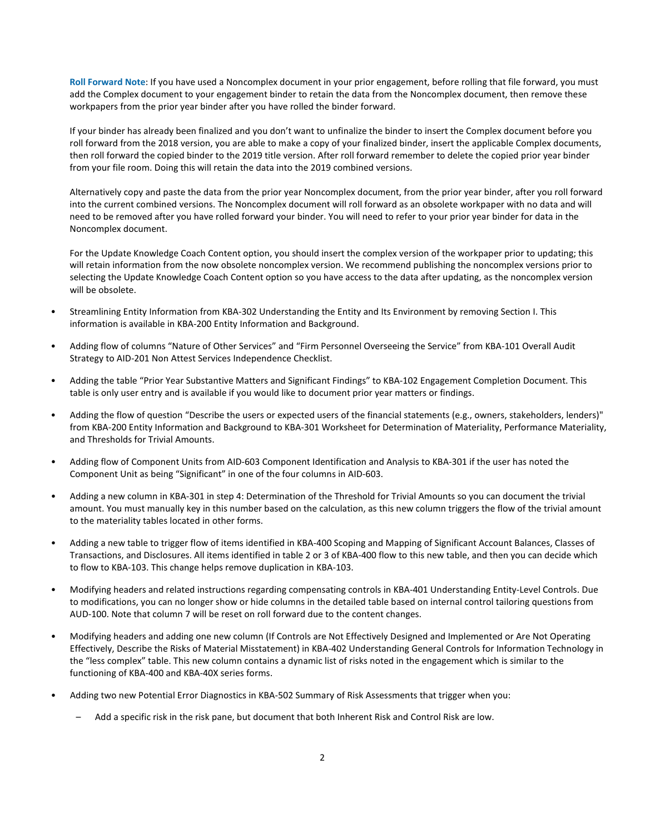**Roll Forward Note**: If you have used a Noncomplex document in your prior engagement, before rolling that file forward, you must add the Complex document to your engagement binder to retain the data from the Noncomplex document, then remove these workpapers from the prior year binder after you have rolled the binder forward.

If your binder has already been finalized and you don't want to unfinalize the binder to insert the Complex document before you roll forward from the 2018 version, you are able to make a copy of your finalized binder, insert the applicable Complex documents, then roll forward the copied binder to the 2019 title version. After roll forward remember to delete the copied prior year binder from your file room. Doing this will retain the data into the 2019 combined versions.

Alternatively copy and paste the data from the prior year Noncomplex document, from the prior year binder, after you roll forward into the current combined versions. The Noncomplex document will roll forward as an obsolete workpaper with no data and will need to be removed after you have rolled forward your binder. You will need to refer to your prior year binder for data in the Noncomplex document.

For the Update Knowledge Coach Content option, you should insert the complex version of the workpaper prior to updating; this will retain information from the now obsolete noncomplex version. We recommend publishing the noncomplex versions prior to selecting the Update Knowledge Coach Content option so you have access to the data after updating, as the noncomplex version will be obsolete.

- Streamlining Entity Information from KBA-302 Understanding the Entity and Its Environment by removing Section I. This information is available in KBA-200 Entity Information and Background.
- Adding flow of columns "Nature of Other Services" and "Firm Personnel Overseeing the Service" from KBA-101 Overall Audit Strategy to AID-201 Non Attest Services Independence Checklist.
- Adding the table "Prior Year Substantive Matters and Significant Findings" to KBA-102 Engagement Completion Document. This table is only user entry and is available if you would like to document prior year matters or findings.
- Adding the flow of question "Describe the users or expected users of the financial statements (e.g., owners, stakeholders, lenders)" from KBA-200 Entity Information and Background to KBA-301 Worksheet for Determination of Materiality, Performance Materiality, and Thresholds for Trivial Amounts.
- Adding flow of Component Units from AID-603 Component Identification and Analysis to KBA-301 if the user has noted the Component Unit as being "Significant" in one of the four columns in AID-603.
- Adding a new column in KBA-301 in step 4: Determination of the Threshold for Trivial Amounts so you can document the trivial amount. You must manually key in this number based on the calculation, as this new column triggers the flow of the trivial amount to the materiality tables located in other forms.
- Adding a new table to trigger flow of items identified in KBA-400 Scoping and Mapping of Significant Account Balances, Classes of Transactions, and Disclosures. All items identified in table 2 or 3 of KBA-400 flow to this new table, and then you can decide which to flow to KBA-103. This change helps remove duplication in KBA-103.
- Modifying headers and related instructions regarding compensating controls in KBA-401 Understanding Entity-Level Controls. Due to modifications, you can no longer show or hide columns in the detailed table based on internal control tailoring questions from AUD-100. Note that column 7 will be reset on roll forward due to the content changes.
- Modifying headers and adding one new column (If Controls are Not Effectively Designed and Implemented or Are Not Operating Effectively, Describe the Risks of Material Misstatement) in KBA-402 Understanding General Controls for Information Technology in the "less complex" table. This new column contains a dynamic list of risks noted in the engagement which is similar to the functioning of KBA-400 and KBA-40X series forms.
- Adding two new Potential Error Diagnostics in KBA-502 Summary of Risk Assessments that trigger when you:
	- Add a specific risk in the risk pane, but document that both Inherent Risk and Control Risk are low.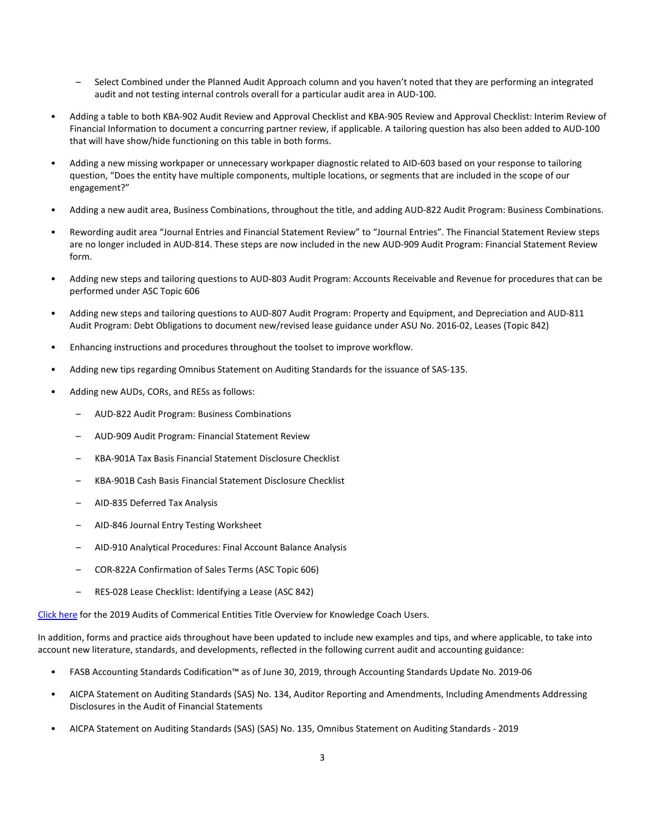- Select Combined under the Planned Audit Approach column and you haven't noted that they are performing an integrated audit and not testing internal controls overall for a particular audit area in AUD-100.
- Adding a table to both KBA-902 Audit Review and Approval Checklist and KBA-905 Review and Approval Checklist: Interim Review of Financial Information to document a concurring partner review, if applicable. A tailoring question has also been added to AUD-100 that will have show/hide functioning on this table in both forms.
- Adding a new missing workpaper or unnecessary workpaper diagnostic related to AID-603 based on your response to tailoring question, "Does the entity have multiple components, multiple locations, or segments that are included in the scope of our engagement?"
- Adding a new audit area, Business Combinations, throughout the title, and adding AUD-822 Audit Program: Business Combinations.
- Rewording audit area "Journal Entries and Financial Statement Review" to "Journal Entries". The Financial Statement Review steps are no longer included in AUD-814. These steps are now included in the new AUD-909 Audit Program: Financial Statement Review form.
- Adding new steps and tailoring questions to AUD-803 Audit Program: Accounts Receivable and Revenue for procedures that can be performed under ASC Topic 606
- Adding new steps and tailoring questions to AUD-807 Audit Program: Property and Equipment, and Depreciation and AUD-811 Audit Program: Debt Obligations to document new/revised lease guidance under ASU No. 2016-02, Leases (Topic 842)
- Enhancing instructions and procedures throughout the toolset to improve workflow.
- Adding new tips regarding Omnibus Statement on Auditing Standards for the issuance of SAS-135.
- Adding new AUDs, CORs, and RESs as follows:
	- AUD-822 Audit Program: Business Combinations
	- AUD-909 Audit Program: Financial Statement Review
	- KBA-901A Tax Basis Financial Statement Disclosure Checklist
	- KBA-901B Cash Basis Financial Statement Disclosure Checklist
	- AID-835 Deferred Tax Analysis
	- AID-846 Journal Entry Testing Worksheet
	- AID-910 Analytical Procedures: Final Account Balance Analysis
	- COR-822A Confirmation of Sales Terms (ASC Topic 606)
	- RES-028 Lease Checklist: Identifying a Lease (ASC 842)

[Click here](http://support.cch.com/updates/KnowledgeCoach/pdf/guides_tab/2019%20Commercial%20Entities%20Title%20Overview%20for%20Knowledge%20Coach%20Users.pdf) for the 2019 Audits of Commerical Entities Title Overview for Knowledge Coach Users.

In addition, forms and practice aids throughout have been updated to include new examples and tips, and where applicable, to take into account new literature, standards, and developments, reflected in the following current audit and accounting guidance:

- FASB Accounting Standards Codification™ as of June 30, 2019, through Accounting Standards Update No. 2019-06
- AICPA Statement on Auditing Standards (SAS) No. 134, Auditor Reporting and Amendments, Including Amendments Addressing Disclosures in the Audit of Financial Statements
- AICPA Statement on Auditing Standards (SAS) (SAS) No. 135, Omnibus Statement on Auditing Standards 2019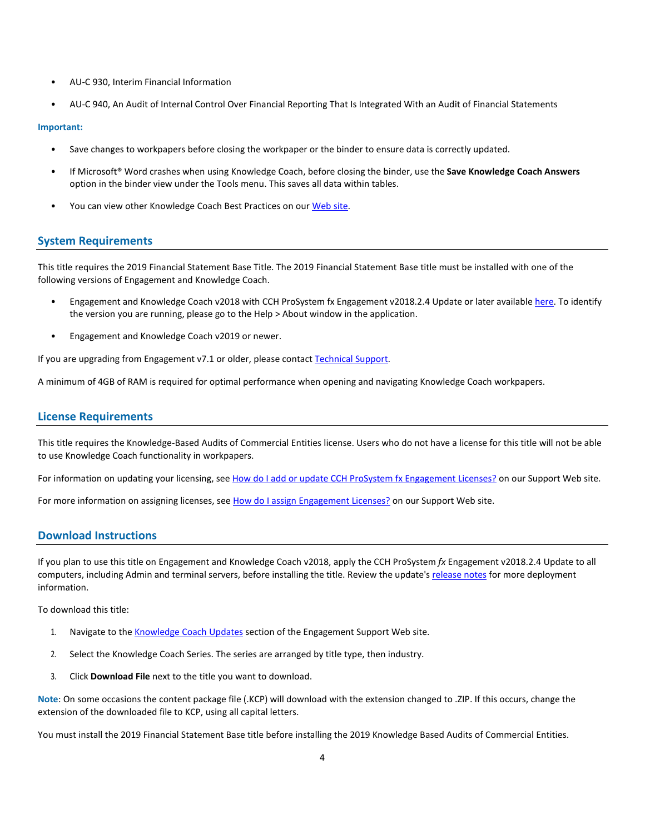- AU-C 930, Interim Financial Information
- AU-C 940, An Audit of Internal Control Over Financial Reporting That Is Integrated With an Audit of Financial Statements

#### **Important:**

- Save changes to workpapers before closing the workpaper or the binder to ensure data is correctly updated.
- If Microsoft® Word crashes when using Knowledge Coach, before closing the binder, use the **Save Knowledge Coach Answers** option in the binder view under the Tools menu. This saves all data within tables.
- You can view other Knowledge Coach Best Practices on ou[r Web](https://support.cch.com/kb/solution/000034942/sw34947) site.

#### **System Requirements**

This title requires the 2019 Financial Statement Base Title. The 2019 Financial Statement Base title must be installed with one of the following versions of Engagement and Knowledge Coach.

- Engagement and Knowledge Coach v2018 with CCH ProSystem fx Engagement v2018.2.4 Update or later available [here.](https://support.cch.com/updates/Engagement/release2018/release2018.aspx) To identify the version you are running, please go to the Help > About window in the application.
- Engagement and Knowledge Coach v2019 or newer.

If you are upgrading from Engagement v7.1 or older, please contact [Technical Support.](https://support.cch.com/contact)

A minimum of 4GB of RAM is required for optimal performance when opening and navigating Knowledge Coach workpapers.

#### **License Requirements**

This title requires the Knowledge-Based Audits of Commercial Entities license. Users who do not have a license for this title will not be able to use Knowledge Coach functionality in workpapers.

For information on updating your licensing, see [How do I add or update CCH ProSystem fx Engagement Licenses?](https://support.cch.com/kb/solution.aspx/sw3937) on our Support Web site.

For more information on assigning licenses, see [How do I assign Engagement Licenses?](https://support.cch.com/kb/solution.aspx/sw3943) on our Support Web site.

#### **Download Instructions**

If you plan to use this title on Engagement and Knowledge Coach v2018, apply the CCH ProSystem *fx* Engagement v2018.2.4 Update to all computers, including Admin and terminal servers, before installing the title. Review the update's [release notes](https://d2iceilwdglxpz.cloudfront.net/release_notes/CCH%20ProSystem%20fx%20Engagement%202018.2.4%20Release%20Notes.pdf) for more deployment information.

To download this title:

- 1. Navigate to the [Knowledge Coach Updates](http://support.cch.com/updates/KnowledgeCoach) section of the Engagement Support Web site.
- 2. Select the Knowledge Coach Series. The series are arranged by title type, then industry.
- 3. Click **Download File** next to the title you want to download.

**Note**: On some occasions the content package file (.KCP) will download with the extension changed to .ZIP. If this occurs, change the extension of the downloaded file to KCP, using all capital letters.

You must install the 2019 Financial Statement Base title before installing the 2019 Knowledge Based Audits of Commercial Entities.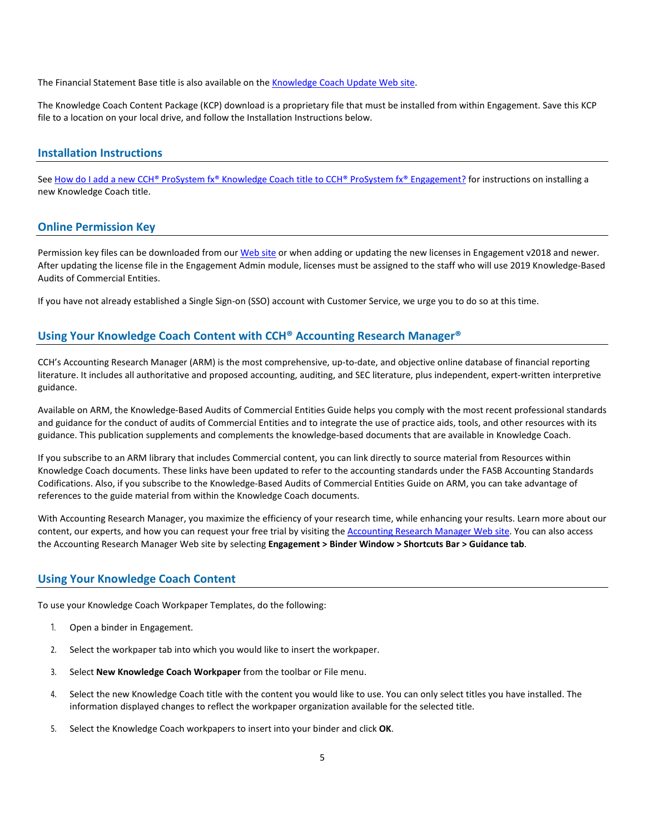The Financial Statement Base title is also available on th[e Knowledge Coach Update Web](http://support.cch.com/updates/KnowledgeCoach) site.

The Knowledge Coach Content Package (KCP) download is a proprietary file that must be installed from within Engagement. Save this KCP file to a location on your local drive, and follow the Installation Instructions below.

#### **Installation Instructions**

See [How do I add a new CCH® ProSystem fx® Knowledge Coach title to CCH® ProSystem fx® Engagement?](https://support.cch.com/kb/solution/000033707/sw30271) for instructions on installing a new Knowledge Coach title.

#### **Online Permission Key**

Permission key files can be downloaded from ou[r Web](https://prosystemfxsupport.tax.cchgroup.com/permkey/download.aspx) site or when adding or updating the new licenses in Engagement v2018 and newer. After updating the license file in the Engagement Admin module, licenses must be assigned to the staff who will use 2019 Knowledge-Based Audits of Commercial Entities.

If you have not already established a Single Sign-on (SSO) account with Customer Service, we urge you to do so at this time.

#### **Using Your Knowledge Coach Content with CCH® Accounting Research Manager®**

CCH's Accounting Research Manager (ARM) is the most comprehensive, up-to-date, and objective online database of financial reporting literature. It includes all authoritative and proposed accounting, auditing, and SEC literature, plus independent, expert-written interpretive guidance.

Available on ARM, the Knowledge-Based Audits of Commercial Entities Guide helps you comply with the most recent professional standards and guidance for the conduct of audits of Commercial Entities and to integrate the use of practice aids, tools, and other resources with its guidance. This publication supplements and complements the knowledge-based documents that are available in Knowledge Coach.

If you subscribe to an ARM library that includes Commercial content, you can link directly to source material from Resources within Knowledge Coach documents. These links have been updated to refer to the accounting standards under the FASB Accounting Standards Codifications. Also, if you subscribe to the Knowledge-Based Audits of Commercial Entities Guide on ARM, you can take advantage of references to the guide material from within the Knowledge Coach documents.

With Accounting Research Manager, you maximize the efficiency of your research time, while enhancing your results. Learn more about our content, our experts, and how you can request your free trial by visiting the **Accounting Research Manager Web site**. You can also access the Accounting Research Manager Web site by selecting **Engagement > Binder Window > Shortcuts Bar > Guidance tab**.

#### **Using Your Knowledge Coach Content**

To use your Knowledge Coach Workpaper Templates, do the following:

- 1. Open a binder in Engagement.
- 2. Select the workpaper tab into which you would like to insert the workpaper.
- 3. Select **New Knowledge Coach Workpaper** from the toolbar or File menu.
- 4. Select the new Knowledge Coach title with the content you would like to use. You can only select titles you have installed. The information displayed changes to reflect the workpaper organization available for the selected title.
- 5. Select the Knowledge Coach workpapers to insert into your binder and click **OK**.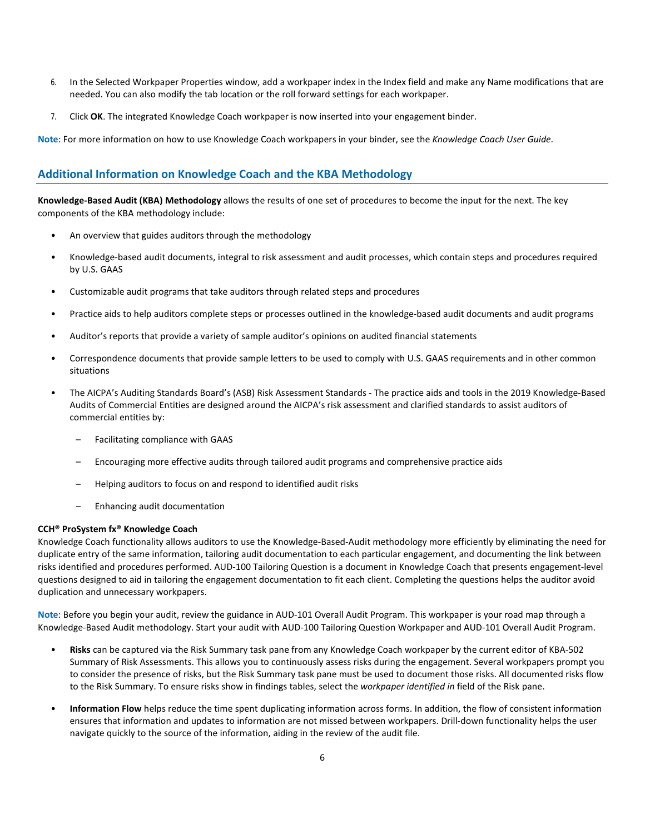- 6. In the Selected Workpaper Properties window, add a workpaper index in the Index field and make any Name modifications that are needed. You can also modify the tab location or the roll forward settings for each workpaper.
- 7. Click **OK**. The integrated Knowledge Coach workpaper is now inserted into your engagement binder.

**Note**: For more information on how to use Knowledge Coach workpapers in your binder, see the *Knowledge Coach User Guide*.

## **Additional Information on Knowledge Coach and the KBA Methodology**

**Knowledge-Based Audit (KBA) Methodology** allows the results of one set of procedures to become the input for the next. The key components of the KBA methodology include:

- An overview that guides auditors through the methodology
- Knowledge-based audit documents, integral to risk assessment and audit processes, which contain steps and procedures required by U.S. GAAS
- Customizable audit programs that take auditors through related steps and procedures
- Practice aids to help auditors complete steps or processes outlined in the knowledge-based audit documents and audit programs
- Auditor's reports that provide a variety of sample auditor's opinions on audited financial statements
- Correspondence documents that provide sample letters to be used to comply with U.S. GAAS requirements and in other common situations
- The AICPA's Auditing Standards Board's (ASB) Risk Assessment Standards The practice aids and tools in the 2019 Knowledge-Based Audits of Commercial Entities are designed around the AICPA's risk assessment and clarified standards to assist auditors of commercial entities by:
	- Facilitating compliance with GAAS
	- Encouraging more effective audits through tailored audit programs and comprehensive practice aids
	- Helping auditors to focus on and respond to identified audit risks
	- Enhancing audit documentation

#### **CCH® ProSystem fx® Knowledge Coach**

Knowledge Coach functionality allows auditors to use the Knowledge-Based-Audit methodology more efficiently by eliminating the need for duplicate entry of the same information, tailoring audit documentation to each particular engagement, and documenting the link between risks identified and procedures performed. AUD-100 Tailoring Question is a document in Knowledge Coach that presents engagement-level questions designed to aid in tailoring the engagement documentation to fit each client. Completing the questions helps the auditor avoid duplication and unnecessary workpapers.

**Note**: Before you begin your audit, review the guidance in AUD-101 Overall Audit Program. This workpaper is your road map through a Knowledge-Based Audit methodology. Start your audit with AUD-100 Tailoring Question Workpaper and AUD-101 Overall Audit Program.

- **Risks** can be captured via the Risk Summary task pane from any Knowledge Coach workpaper by the current editor of KBA-502 Summary of Risk Assessments. This allows you to continuously assess risks during the engagement. Several workpapers prompt you to consider the presence of risks, but the Risk Summary task pane must be used to document those risks. All documented risks flow to the Risk Summary. To ensure risks show in findings tables, select the *workpaper identified in* field of the Risk pane.
- **Information Flow** helps reduce the time spent duplicating information across forms. In addition, the flow of consistent information ensures that information and updates to information are not missed between workpapers. Drill-down functionality helps the user navigate quickly to the source of the information, aiding in the review of the audit file.